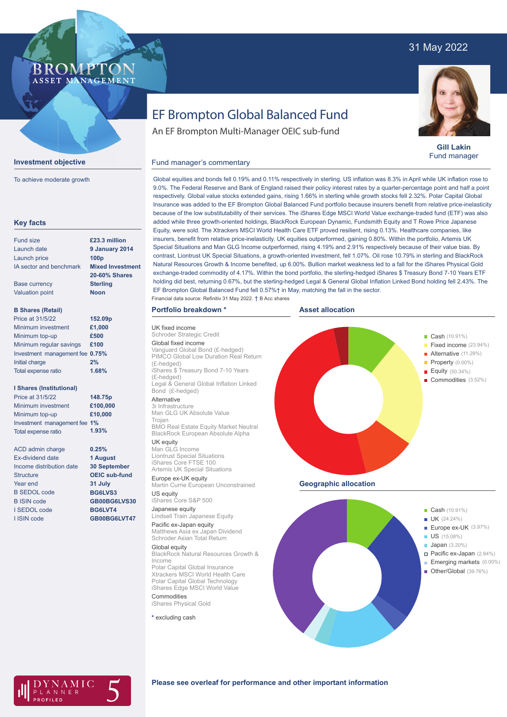# 31 May 2022



**Gill Lakin** Fund manager

# An EF Brompton Multi-Manager OEIC sub-fund

EF Brompton Global Balanced Fund

### Fund manager's commentary

**Key facts** Fund size Launch date Launch price IA sector and benchmark Base currency Valuation point **B Shares (Retail)** Minimum investment Minimum top-up Minimum regular savings **£100** Investment management fee **0.75%** Initial charge Total expense ratio **I Shares (Institutional)** Minimum investment Minimum top-up Investment management fee **1%** Total expense ratio ACD admin charge Ex-dividend date Income distribution date **Structure** Year end B SEDOL code B ISIN code I SEDOL code I ISIN code **9 January 2014 100p Mixed Investment 20-60% Shares Sterling Noon £1,000 £500 2% £100,000 £10,000 0.25% 1 August 30 September OEIC sub-fund 31 July BG6LVS3 GB00BG6LVS30 BG6LVT4 GB00BG6LVT47 £23.3 million** Price at 31/5/22 Price at 31/5/22 **152.09p 148.75p 1.68% 1.93%**

**Investment objective**

BROMP

ASSET MANAGEMENT

To achieve moderate growth

Global equities and bonds fell 0.19% and 0.11% respectively in sterling. US inflation was 8.3% in April while UK inflation rose to 9.0%. The Federal Reserve and Bank of England raised their policy interest rates by a quarter-percentage point and half a point respectively. Global value stocks extended gains, rising 1.66% in sterling while growth stocks fell 2.32%. Polar Capital Global Insurance was added to the EF Brompton Global Balanced Fund portfolio because insurers benefit from relative price-inelasticity because of the low substitutability of their services. The iShares Edge MSCI World Value exchange-traded fund (ETF) was also added while three growth-oriented holdings, BlackRock European Dynamic, Fundsmith Equity and T Rowe Price Japanese Equity, were sold. The Xtrackers MSCI World Health Care ETF proved resilient, rising 0.13%. Healthcare companies, like insurers, benefit from relative price-inelasticity. UK equities outperformed, gaining 0.80%. Within the portfolio, Artemis UK Special Situations and Man GLG Income outperformed, rising 4.19% and 2.91% respectively because of their value bias. By contrast, Liontrust UK Special Situations, a growth-oriented investment, fell 1.07%. Oil rose 10.79% in sterling and BlackRock Natural Resources Growth & Income benefited, up 6.00%. Bullion market weakness led to a fall for the iShares Physical Gold exchange-traded commodity of 4.17%. Within the bond portfolio, the sterling-hedged iShares \$ Treasury Bond 7-10 Years ETF holding did best, returning 0.67%, but the sterling-hedged Legal & General Global Inflation Linked Bond holding fell 2.43%. The EF Brompton Global Balanced Fund fell 0.57%† in May, matching the fall in the sector. Financial data source: Refinitiv 31 May 2022. † B Acc shares

### **Portfolio breakdown \***

**hroder Strategic Credit** Global fixed income

UK fixed income

(£-hedged)

(£-hedged)

Trojan

UK equity Man GLG Income Liontrust Special Situations iShares Core FTSE 100

Bond (£-hedged) Alternative 3i Infrastructure

Europe ex-UK equity

US equity iShares Core S&P 500 Japanese equity

Pacific ex-Japan equity

Global equity

Commodities iShares Physical Gold **\*** excluding cash

Income

Schroder Asian Total Return

**Asset allocation**